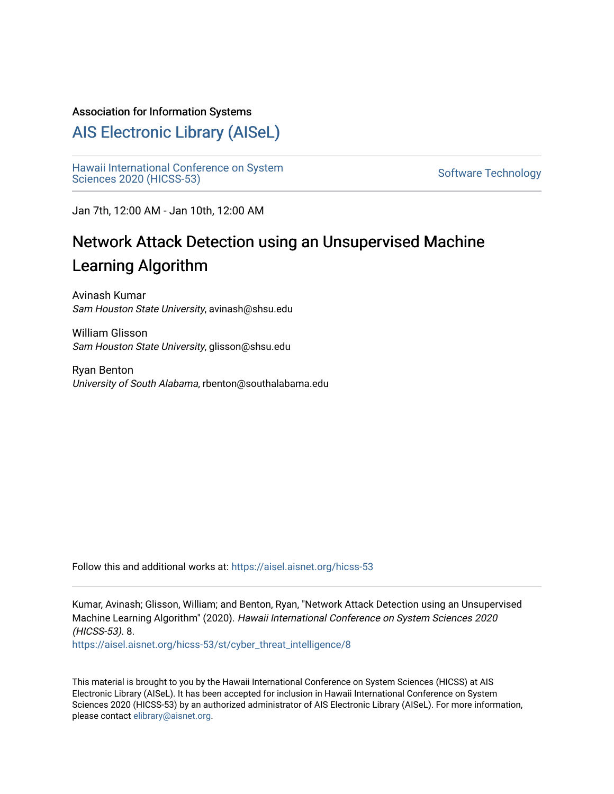## Association for Information Systems

# [AIS Electronic Library \(AISeL\)](https://aisel.aisnet.org/)

[Hawaii International Conference on System](https://aisel.aisnet.org/hicss-53)  Hawaii international Comerence on System<br>[Sciences 2020 \(HICSS-53\)](https://aisel.aisnet.org/hicss-53)

Jan 7th, 12:00 AM - Jan 10th, 12:00 AM

# Network Attack Detection using an Unsupervised Machine Learning Algorithm

Avinash Kumar Sam Houston State University, avinash@shsu.edu

William Glisson Sam Houston State University, glisson@shsu.edu

Ryan Benton University of South Alabama, rbenton@southalabama.edu

Follow this and additional works at: [https://aisel.aisnet.org/hicss-53](https://aisel.aisnet.org/hicss-53?utm_source=aisel.aisnet.org%2Fhicss-53%2Fst%2Fcyber_threat_intelligence%2F8&utm_medium=PDF&utm_campaign=PDFCoverPages) 

Kumar, Avinash; Glisson, William; and Benton, Ryan, "Network Attack Detection using an Unsupervised Machine Learning Algorithm" (2020). Hawaii International Conference on System Sciences 2020 (HICSS-53). 8.

[https://aisel.aisnet.org/hicss-53/st/cyber\\_threat\\_intelligence/8](https://aisel.aisnet.org/hicss-53/st/cyber_threat_intelligence/8?utm_source=aisel.aisnet.org%2Fhicss-53%2Fst%2Fcyber_threat_intelligence%2F8&utm_medium=PDF&utm_campaign=PDFCoverPages)

This material is brought to you by the Hawaii International Conference on System Sciences (HICSS) at AIS Electronic Library (AISeL). It has been accepted for inclusion in Hawaii International Conference on System Sciences 2020 (HICSS-53) by an authorized administrator of AIS Electronic Library (AISeL). For more information, please contact [elibrary@aisnet.org](mailto:elibrary@aisnet.org%3E).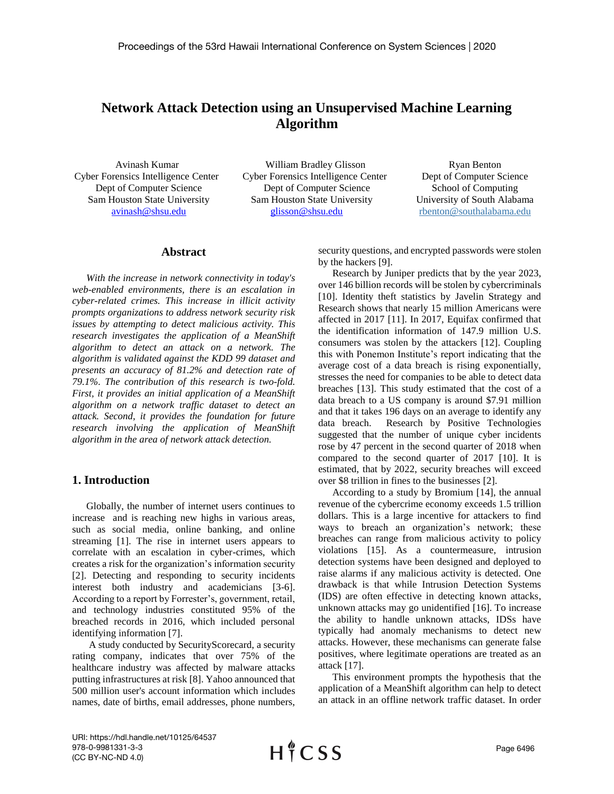## **Network Attack Detection using an Unsupervised Machine Learning Algorithm**

 Avinash Kumar Cyber Forensics Intelligence Center Dept of Computer Science Sam Houston State University [avinash@shsu.edu](mailto:avinash@shsu.edu)

 William Bradley Glisson Cyber Forensics Intelligence Center Dept of Computer Science Sam Houston State University [glisson@shsu.edu](mailto:glisson@shsu.edu)

Ryan Benton Dept of Computer Science School of Computing University of South Alabama [rbenton@southalabama.edu](mailto:rbenton@southalabama.edu)

## **Abstract**

*With the increase in network connectivity in today's web-enabled environments, there is an escalation in cyber-related crimes. This increase in illicit activity prompts organizations to address network security risk issues by attempting to detect malicious activity. This research investigates the application of a MeanShift algorithm to detect an attack on a network. The algorithm is validated against the KDD 99 dataset and presents an accuracy of 81.2% and detection rate of 79.1%. The contribution of this research is two-fold. First, it provides an initial application of a MeanShift algorithm on a network traffic dataset to detect an attack. Second, it provides the foundation for future research involving the application of MeanShift algorithm in the area of network attack detection.*

## **1. Introduction**

Globally, the number of internet users continues to increase and is reaching new highs in various areas, such as social media, online banking, and online streaming [1]. The rise in internet users appears to correlate with an escalation in cyber-crimes, which creates a risk for the organization's information security [2]. Detecting and responding to security incidents interest both industry and academicians [3-6]. According to a report by Forrester's, government, retail, and technology industries constituted 95% of the breached records in 2016, which included personal identifying information [7].

A study conducted by SecurityScorecard, a security rating company, indicates that over 75% of the healthcare industry was affected by malware attacks putting infrastructures at risk [8]. Yahoo announced that 500 million user's account information which includes names, date of births, email addresses, phone numbers,

security questions, and encrypted passwords were stolen by the hackers [9].

Research by Juniper predicts that by the year 2023, over 146 billion records will be stolen by cybercriminals [10]. Identity theft statistics by Javelin Strategy and Research shows that nearly 15 million Americans were affected in 2017 [11]. In 2017, Equifax confirmed that the identification information of 147.9 million U.S. consumers was stolen by the attackers [12]. Coupling this with Ponemon Institute's report indicating that the average cost of a data breach is rising exponentially, stresses the need for companies to be able to detect data breaches [13]. This study estimated that the cost of a data breach to a US company is around \$7.91 million and that it takes 196 days on an average to identify any data breach. Research by Positive Technologies suggested that the number of unique cyber incidents rose by 47 percent in the second quarter of 2018 when compared to the second quarter of 2017 [10]. It is estimated, that by 2022, security breaches will exceed over \$8 trillion in fines to the businesses [2].

According to a study by Bromium [14], the annual revenue of the cybercrime economy exceeds 1.5 trillion dollars. This is a large incentive for attackers to find ways to breach an organization's network; these breaches can range from malicious activity to policy violations [15]. As a countermeasure, intrusion detection systems have been designed and deployed to raise alarms if any malicious activity is detected. One drawback is that while Intrusion Detection Systems (IDS) are often effective in detecting known attacks, unknown attacks may go unidentified [16]. To increase the ability to handle unknown attacks, IDSs have typically had anomaly mechanisms to detect new attacks. However, these mechanisms can generate false positives, where legitimate operations are treated as an attack [17].

This environment prompts the hypothesis that the application of a MeanShift algorithm can help to detect an attack in an offline network traffic dataset. In order

URI: https://hdl.handle.net/10125/64537 978-0-9981331-3-3 (CC BY-NC-ND 4.0)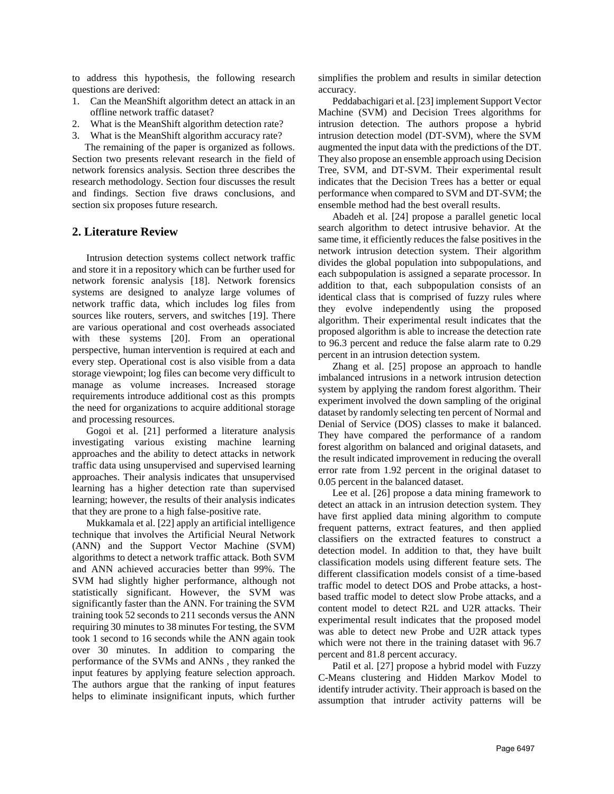to address this hypothesis, the following research questions are derived:

- 1. Can the MeanShift algorithm detect an attack in an offline network traffic dataset?
- 2. What is the MeanShift algorithm detection rate?
- 3. What is the MeanShift algorithm accuracy rate?

 The remaining of the paper is organized as follows. Section two presents relevant research in the field of network forensics analysis. Section three describes the research methodology. Section four discusses the result and findings. Section five draws conclusions, and section six proposes future research.

## **2. Literature Review**

Intrusion detection systems collect network traffic and store it in a repository which can be further used for network forensic analysis [18]. Network forensics systems are designed to analyze large volumes of network traffic data, which includes log files from sources like routers, servers, and switches [19]. There are various operational and cost overheads associated with these systems [20]. From an operational perspective, human intervention is required at each and every step. Operational cost is also visible from a data storage viewpoint; log files can become very difficult to manage as volume increases. Increased storage requirements introduce additional cost as this prompts the need for organizations to acquire additional storage and processing resources.

Gogoi et al. [21] performed a literature analysis investigating various existing machine learning approaches and the ability to detect attacks in network traffic data using unsupervised and supervised learning approaches. Their analysis indicates that unsupervised learning has a higher detection rate than supervised learning; however, the results of their analysis indicates that they are prone to a high false-positive rate.

Mukkamala et al. [22] apply an artificial intelligence technique that involves the Artificial Neural Network (ANN) and the Support Vector Machine (SVM) algorithms to detect a network traffic attack. Both SVM and ANN achieved accuracies better than 99%. The SVM had slightly higher performance, although not statistically significant. However, the SVM was significantly faster than the ANN. For training the SVM training took 52 seconds to 211 seconds versus the ANN requiring 30 minutes to 38 minutes For testing, the SVM took 1 second to 16 seconds while the ANN again took over 30 minutes. In addition to comparing the performance of the SVMs and ANNs , they ranked the input features by applying feature selection approach. The authors argue that the ranking of input features helps to eliminate insignificant inputs, which further

simplifies the problem and results in similar detection accuracy.

Peddabachigari et al. [23] implement Support Vector Machine (SVM) and Decision Trees algorithms for intrusion detection. The authors propose a hybrid intrusion detection model (DT-SVM), where the SVM augmented the input data with the predictions of the DT. They also propose an ensemble approach using Decision Tree, SVM, and DT-SVM. Their experimental result indicates that the Decision Trees has a better or equal performance when compared to SVM and DT-SVM; the ensemble method had the best overall results.

Abadeh et al. [24] propose a parallel genetic local search algorithm to detect intrusive behavior. At the same time, it efficiently reduces the false positives in the network intrusion detection system. Their algorithm divides the global population into subpopulations, and each subpopulation is assigned a separate processor. In addition to that, each subpopulation consists of an identical class that is comprised of fuzzy rules where they evolve independently using the proposed algorithm. Their experimental result indicates that the proposed algorithm is able to increase the detection rate to 96.3 percent and reduce the false alarm rate to 0.29 percent in an intrusion detection system.

Zhang et al. [25] propose an approach to handle imbalanced intrusions in a network intrusion detection system by applying the random forest algorithm. Their experiment involved the down sampling of the original dataset by randomly selecting ten percent of Normal and Denial of Service (DOS) classes to make it balanced. They have compared the performance of a random forest algorithm on balanced and original datasets, and the result indicated improvement in reducing the overall error rate from 1.92 percent in the original dataset to 0.05 percent in the balanced dataset.

Lee et al. [26] propose a data mining framework to detect an attack in an intrusion detection system. They have first applied data mining algorithm to compute frequent patterns, extract features, and then applied classifiers on the extracted features to construct a detection model. In addition to that, they have built classification models using different feature sets. The different classification models consist of a time-based traffic model to detect DOS and Probe attacks, a hostbased traffic model to detect slow Probe attacks, and a content model to detect R2L and U2R attacks. Their experimental result indicates that the proposed model was able to detect new Probe and U2R attack types which were not there in the training dataset with 96.7 percent and 81.8 percent accuracy.

Patil et al. [27] propose a hybrid model with Fuzzy C-Means clustering and Hidden Markov Model to identify intruder activity. Their approach is based on the assumption that intruder activity patterns will be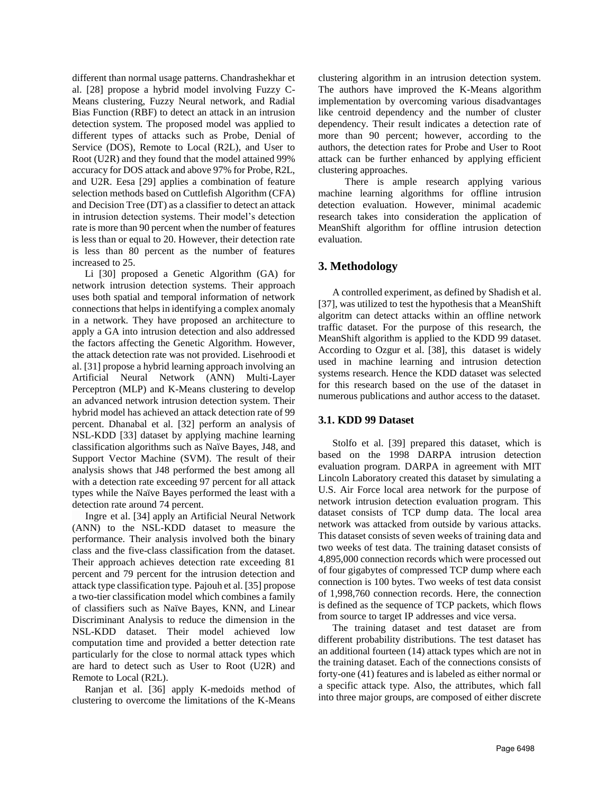different than normal usage patterns. Chandrashekhar et al. [28] propose a hybrid model involving Fuzzy C-Means clustering, Fuzzy Neural network, and Radial Bias Function (RBF) to detect an attack in an intrusion detection system. The proposed model was applied to different types of attacks such as Probe, Denial of Service (DOS), Remote to Local (R2L), and User to Root (U2R) and they found that the model attained 99% accuracy for DOS attack and above 97% for Probe, R2L, and U2R. Eesa [29] applies a combination of feature selection methods based on Cuttlefish Algorithm (CFA) and Decision Tree (DT) as a classifier to detect an attack in intrusion detection systems. Their model's detection rate is more than 90 percent when the number of features is less than or equal to 20. However, their detection rate is less than 80 percent as the number of features increased to 25.

 Li [30] proposed a Genetic Algorithm (GA) for network intrusion detection systems. Their approach uses both spatial and temporal information of network connections that helps in identifying a complex anomaly in a network. They have proposed an architecture to apply a GA into intrusion detection and also addressed the factors affecting the Genetic Algorithm. However, the attack detection rate was not provided. Lisehroodi et al. [31] propose a hybrid learning approach involving an Artificial Neural Network (ANN) Multi-Layer Perceptron (MLP) and K-Means clustering to develop an advanced network intrusion detection system. Their hybrid model has achieved an attack detection rate of 99 percent. Dhanabal et al. [32] perform an analysis of NSL-KDD [33] dataset by applying machine learning classification algorithms such as Naïve Bayes, J48, and Support Vector Machine (SVM). The result of their analysis shows that J48 performed the best among all with a detection rate exceeding 97 percent for all attack types while the Naïve Bayes performed the least with a detection rate around 74 percent.

 Ingre et al. [34] apply an Artificial Neural Network (ANN) to the NSL-KDD dataset to measure the performance. Their analysis involved both the binary class and the five-class classification from the dataset. Their approach achieves detection rate exceeding 81 percent and 79 percent for the intrusion detection and attack type classification type. Pajouh et al. [35] propose a two-tier classification model which combines a family of classifiers such as Naïve Bayes, KNN, and Linear Discriminant Analysis to reduce the dimension in the NSL-KDD dataset. Their model achieved low computation time and provided a better detection rate particularly for the close to normal attack types which are hard to detect such as User to Root (U2R) and Remote to Local (R2L).

 Ranjan et al. [36] apply K-medoids method of clustering to overcome the limitations of the K-Means

clustering algorithm in an intrusion detection system. The authors have improved the K-Means algorithm implementation by overcoming various disadvantages like centroid dependency and the number of cluster dependency. Their result indicates a detection rate of more than 90 percent; however, according to the authors, the detection rates for Probe and User to Root attack can be further enhanced by applying efficient clustering approaches.

 There is ample research applying various machine learning algorithms for offline intrusion detection evaluation. However, minimal academic research takes into consideration the application of MeanShift algorithm for offline intrusion detection evaluation.

## **3. Methodology**

A controlled experiment, as defined by Shadish et al. [37], was utilized to test the hypothesis that a MeanShift algoritm can detect attacks within an offline network traffic dataset. For the purpose of this research, the MeanShift algorithm is applied to the KDD 99 dataset. According to Ozgur et al. [38], this dataset is widely used in machine learning and intrusion detection systems research. Hence the KDD dataset was selected for this research based on the use of the dataset in numerous publications and author access to the dataset.

## **3.1. KDD 99 Dataset**

Stolfo et al. [39] prepared this dataset, which is based on the 1998 DARPA intrusion detection evaluation program. DARPA in agreement with MIT Lincoln Laboratory created this dataset by simulating a U.S. Air Force local area network for the purpose of network intrusion detection evaluation program. This dataset consists of TCP dump data. The local area network was attacked from outside by various attacks. This dataset consists of seven weeks of training data and two weeks of test data. The training dataset consists of 4,895,000 connection records which were processed out of four gigabytes of compressed TCP dump where each connection is 100 bytes. Two weeks of test data consist of 1,998,760 connection records. Here, the connection is defined as the sequence of TCP packets, which flows from source to target IP addresses and vice versa.

The training dataset and test dataset are from different probability distributions. The test dataset has an additional fourteen (14) attack types which are not in the training dataset. Each of the connections consists of forty-one (41) features and is labeled as either normal or a specific attack type. Also, the attributes, which fall into three major groups, are composed of either discrete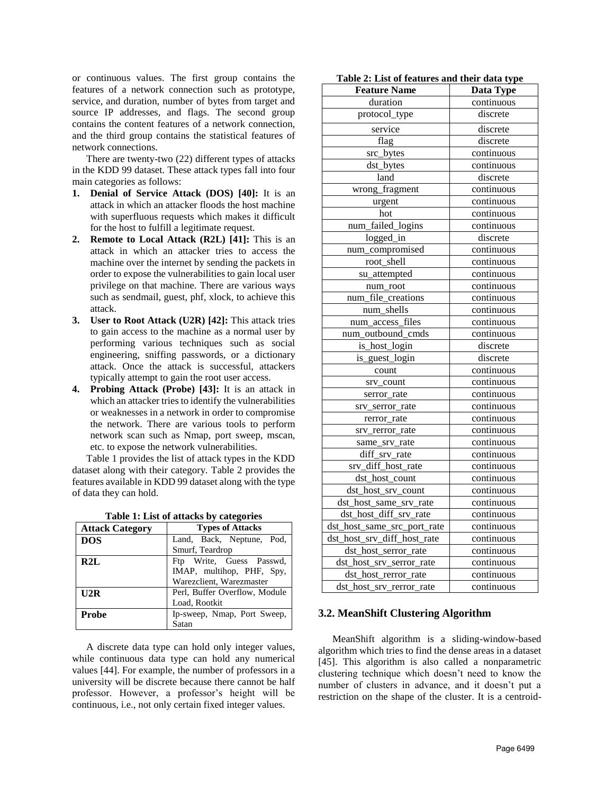or continuous values. The first group contains the features of a network connection such as prototype, service, and duration, number of bytes from target and source IP addresses, and flags. The second group contains the content features of a network connection, and the third group contains the statistical features of network connections.

There are twenty-two (22) different types of attacks in the KDD 99 dataset. These attack types fall into four main categories as follows:

- **1. Denial of Service Attack (DOS) [40]:** It is an attack in which an attacker floods the host machine with superfluous requests which makes it difficult for the host to fulfill a legitimate request.
- **2. Remote to Local Attack (R2L) [41]:** This is an attack in which an attacker tries to access the machine over the internet by sending the packets in order to expose the vulnerabilities to gain local user privilege on that machine. There are various ways such as sendmail, guest, phf, xlock, to achieve this attack.
- **3. User to Root Attack (U2R) [42]:** This attack tries to gain access to the machine as a normal user by performing various techniques such as social engineering, sniffing passwords, or a dictionary attack. Once the attack is successful, attackers typically attempt to gain the root user access.
- **4. Probing Attack (Probe) [43]:** It is an attack in which an attacker tries to identify the vulnerabilities or weaknesses in a network in order to compromise the network. There are various tools to perform network scan such as Nmap, port sweep, mscan, etc. to expose the network vulnerabilities.

Table 1 provides the list of attack types in the KDD dataset along with their category. Table 2 provides the features available in KDD 99 dataset along with the type of data they can hold.

| <b>Attack Category</b> | <b>Types of Attacks</b>                               |  |
|------------------------|-------------------------------------------------------|--|
| <b>DOS</b>             | Land, Back, Neptune, Pod,                             |  |
|                        | Smurf, Teardrop                                       |  |
| R2L                    | Ftp Write, Guess Passwd,<br>IMAP, multihop, PHF, Spy, |  |
|                        | Warezclient, Warezmaster                              |  |
| U2R                    | Perl, Buffer Overflow, Module                         |  |
|                        | Load, Rootkit                                         |  |
| <b>Probe</b>           | Ip-sweep, Nmap, Port Sweep,                           |  |
|                        | Satan                                                 |  |

**Table 1: List of attacks by categories**

A discrete data type can hold only integer values, while continuous data type can hold any numerical values [44]. For example, the number of professors in a university will be discrete because there cannot be half professor. However, a professor's height will be continuous, i.e., not only certain fixed integer values.

| Table 2: List of features and their data type |  |  |
|-----------------------------------------------|--|--|
|-----------------------------------------------|--|--|

| <b>Feature Name</b>         | Data Type  |  |
|-----------------------------|------------|--|
| duration                    | continuous |  |
| protocol_type               | discrete   |  |
| service                     | discrete   |  |
| flag                        | discrete   |  |
| src_bytes                   | continuous |  |
| dst_bytes                   | continuous |  |
| land                        | discrete   |  |
| wrong_fragment              | continuous |  |
| urgent                      | continuous |  |
| hot                         | continuous |  |
| num_failed_logins           | continuous |  |
| logged_in                   | discrete   |  |
| num_compromised             | continuous |  |
| root_shell                  | continuous |  |
| su_attempted                | continuous |  |
| num_root                    | continuous |  |
| num_file_creations          | continuous |  |
| num_shells                  | continuous |  |
| num_access_files            | continuous |  |
| num_outbound_cmds           | continuous |  |
| is_host_login               | discrete   |  |
| is_guest_login              | discrete   |  |
| count                       | continuous |  |
| srv_count                   | continuous |  |
| serror_rate                 | continuous |  |
| srv_serror_rate             | continuous |  |
| rerror_rate                 | continuous |  |
| srv_rerror_rate             | continuous |  |
| same_srv_rate               | continuous |  |
| diff_srv_rate               | continuous |  |
| srv_diff_host_rate          | continuous |  |
| dst_host_count              | continuous |  |
| dst_host_srv_count          | continuous |  |
| dst_host_same_srv_rate      | continuous |  |
| dst_host_diff_srv_rate      | continuous |  |
| dst_host_same_src_port_rate | continuous |  |
| dst_host_srv_diff_host_rate | continuous |  |
| dst_host_serror_rate        | continuous |  |
| dst_host_srv_serror_rate    | continuous |  |
| dst_host_rerror_rate        | continuous |  |
| dst_host_srv_rerror_rate    | continuous |  |

#### **3.2. MeanShift Clustering Algorithm**

MeanShift algorithm is a sliding-window-based algorithm which tries to find the dense areas in a dataset [45]. This algorithm is also called a nonparametric clustering technique which doesn't need to know the number of clusters in advance, and it doesn't put a restriction on the shape of the cluster. It is a centroid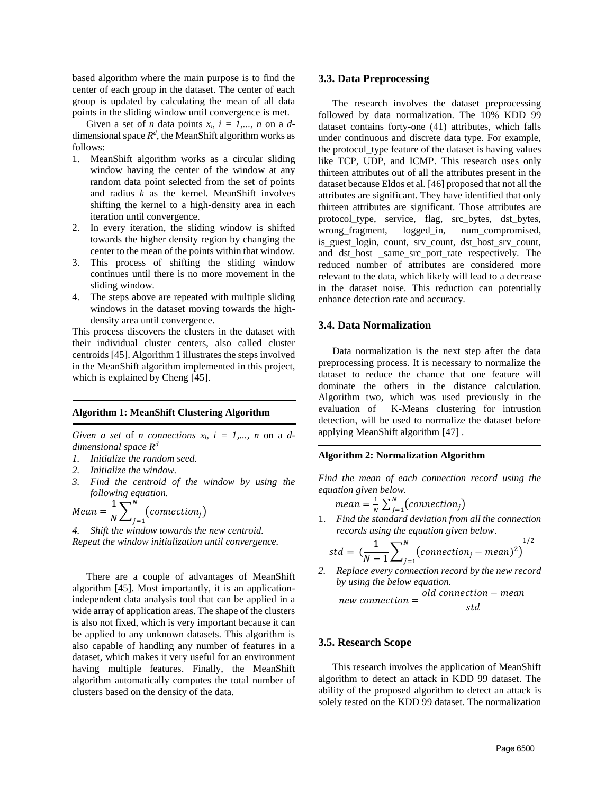based algorithm where the main purpose is to find the center of each group in the dataset. The center of each group is updated by calculating the mean of all data points in the sliding window until convergence is met.

Given a set of *n* data points  $x_i$ ,  $i = 1,..., n$  on a *d*dimensional space  $R^d$ , the MeanShift algorithm works as follows:

- 1. MeanShift algorithm works as a circular sliding window having the center of the window at any random data point selected from the set of points and radius *k* as the kernel*.* MeanShift involves shifting the kernel to a high-density area in each iteration until convergence.
- 2. In every iteration, the sliding window is shifted towards the higher density region by changing the center to the mean of the points within that window.
- 3. This process of shifting the sliding window continues until there is no more movement in the sliding window.
- 4. The steps above are repeated with multiple sliding windows in the dataset moving towards the highdensity area until convergence.

This process discovers the clusters in the dataset with their individual cluster centers, also called cluster centroids [45]. Algorithm 1 illustrates the steps involved in the MeanShift algorithm implemented in this project, which is explained by Cheng [45].

#### **Algorithm 1: MeanShift Clustering Algorithm**

*Given a set* of *n connections*  $x_i$ ,  $i = 1,..., n$  on a *ddimensional space Rd.* 

- *1. Initialize the random seed.*
- *2. Initialize the window.*
- *3. Find the centroid of the window by using the following equation.*

$$
Mean = \frac{1}{N} \sum_{j=1}^{N} (connection_j)
$$

*4. Shift the window towards the new centroid. Repeat the window initialization until convergence.*

There are a couple of advantages of MeanShift algorithm [45]. Most importantly, it is an applicationindependent data analysis tool that can be applied in a wide array of application areas. The shape of the clusters is also not fixed, which is very important because it can be applied to any unknown datasets. This algorithm is also capable of handling any number of features in a dataset, which makes it very useful for an environment having multiple features. Finally, the MeanShift algorithm automatically computes the total number of clusters based on the density of the data.

#### **3.3. Data Preprocessing**

The research involves the dataset preprocessing followed by data normalization. The 10% KDD 99 dataset contains forty-one (41) attributes, which falls under continuous and discrete data type. For example, the protocol\_type feature of the dataset is having values like TCP, UDP, and ICMP. This research uses only thirteen attributes out of all the attributes present in the dataset because Eldos et al. [46] proposed that not all the attributes are significant. They have identified that only thirteen attributes are significant. Those attributes are protocol\_type, service, flag, src\_bytes, dst\_bytes, wrong\_fragment, logged\_in, num\_compromised, is\_guest\_login, count, srv\_count, dst\_host\_srv\_count, and dst\_host \_same\_src\_port\_rate respectively. The reduced number of attributes are considered more relevant to the data, which likely will lead to a decrease in the dataset noise. This reduction can potentially enhance detection rate and accuracy.

## **3.4. Data Normalization**

Data normalization is the next step after the data preprocessing process. It is necessary to normalize the dataset to reduce the chance that one feature will dominate the others in the distance calculation. Algorithm two, which was used previously in the evaluation of K-Means clustering for intrustion detection, will be used to normalize the dataset before applying MeanShift algorithm [47] .

#### **Algorithm 2: Normalization Algorithm**

*Find the mean of each connection record using the equation given below.*

$$
mean = \frac{1}{N} \sum_{j=1}^{N} (connection_j)
$$

1. *Find the standard deviation from all the connection records using the equation given below*.

$$
std = \left(\frac{1}{N-1}\sum_{j=1}^{N} (connection_j - mean)^2\right)^{1/2}
$$

*2. Replace every connection record by the new record by using the below equation.*

 $new$  connection  $=$ old connection – mean  $\mathsf{c} \mathsf{d}$ 

#### **3.5. Research Scope**

This research involves the application of MeanShift algorithm to detect an attack in KDD 99 dataset. The ability of the proposed algorithm to detect an attack is solely tested on the KDD 99 dataset. The normalization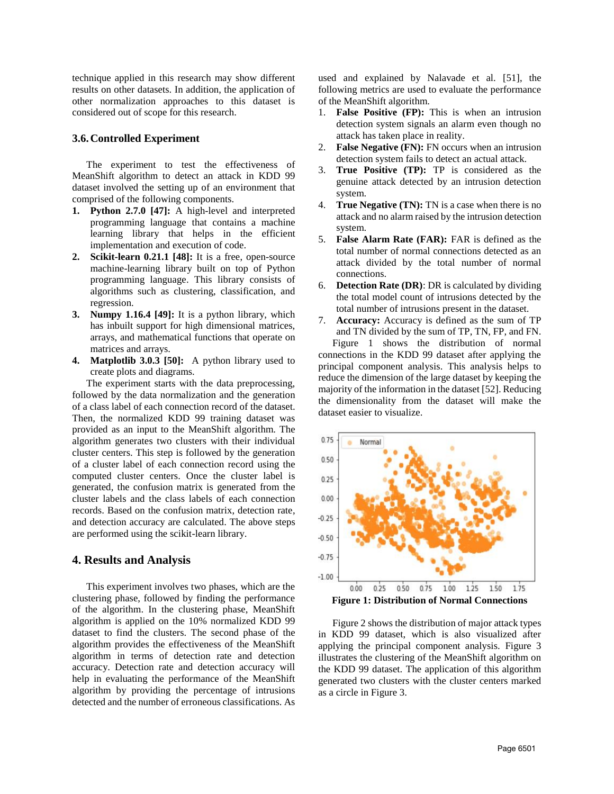technique applied in this research may show different results on other datasets. In addition, the application of other normalization approaches to this dataset is considered out of scope for this research.

#### **3.6.Controlled Experiment**

The experiment to test the effectiveness of MeanShift algorithm to detect an attack in KDD 99 dataset involved the setting up of an environment that comprised of the following components.

- **1. Python 2.7.0 [47]:** A high-level and interpreted programming language that contains a machine learning library that helps in the efficient implementation and execution of code.
- **2. Scikit-learn 0.21.1 [48]:** It is a free, open-source machine-learning library built on top of Python programming language. This library consists of algorithms such as clustering, classification, and regression.
- **3. Numpy 1.16.4 [49]:** It is a python library, which has inbuilt support for high dimensional matrices, arrays, and mathematical functions that operate on matrices and arrays.
- **4. Matplotlib 3.0.3 [50]:** A python library used to create plots and diagrams.

The experiment starts with the data preprocessing, followed by the data normalization and the generation of a class label of each connection record of the dataset. Then, the normalized KDD 99 training dataset was provided as an input to the MeanShift algorithm. The algorithm generates two clusters with their individual cluster centers. This step is followed by the generation of a cluster label of each connection record using the computed cluster centers. Once the cluster label is generated, the confusion matrix is generated from the cluster labels and the class labels of each connection records. Based on the confusion matrix, detection rate, and detection accuracy are calculated. The above steps are performed using the scikit-learn library.

#### **4. Results and Analysis**

This experiment involves two phases, which are the clustering phase, followed by finding the performance of the algorithm. In the clustering phase, MeanShift algorithm is applied on the 10% normalized KDD 99 dataset to find the clusters. The second phase of the algorithm provides the effectiveness of the MeanShift algorithm in terms of detection rate and detection accuracy. Detection rate and detection accuracy will help in evaluating the performance of the MeanShift algorithm by providing the percentage of intrusions detected and the number of erroneous classifications. As used and explained by Nalavade et al. [51], the following metrics are used to evaluate the performance of the MeanShift algorithm.

- 1. **False Positive (FP):** This is when an intrusion detection system signals an alarm even though no attack has taken place in reality.
- 2. **False Negative (FN):** FN occurs when an intrusion detection system fails to detect an actual attack.
- 3. **True Positive (TP):** TP is considered as the genuine attack detected by an intrusion detection system.
- 4. **True Negative (TN):** TN is a case when there is no attack and no alarm raised by the intrusion detection system.
- 5. **False Alarm Rate (FAR):** FAR is defined as the total number of normal connections detected as an attack divided by the total number of normal connections.
- 6. **Detection Rate (DR)**: DR is calculated by dividing the total model count of intrusions detected by the total number of intrusions present in the dataset.
- 7. **Accuracy:** Accuracy is defined as the sum of TP and TN divided by the sum of TP, TN, FP, and FN. Figure 1 shows the distribution of normal connections in the KDD 99 dataset after applying the principal component analysis. This analysis helps to reduce the dimension of the large dataset by keeping the majority of the information in the dataset [52]. Reducing the dimensionality from the dataset will make the dataset easier to visualize.



Figure 2 shows the distribution of major attack types in KDD 99 dataset, which is also visualized after applying the principal component analysis. Figure 3 illustrates the clustering of the MeanShift algorithm on the KDD 99 dataset. The application of this algorithm generated two clusters with the cluster centers marked as a circle in Figure 3.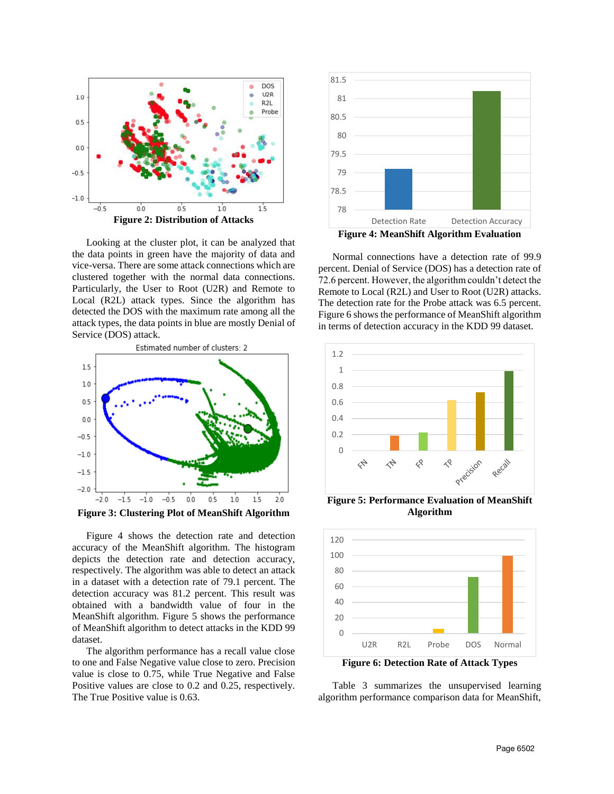

Looking at the cluster plot, it can be analyzed that the data points in green have the majority of data and vice-versa. There are some attack connections which are clustered together with the normal data connections. Particularly, the User to Root (U2R) and Remote to Local (R2L) attack types. Since the algorithm has detected the DOS with the maximum rate among all the attack types, the data points in blue are mostly Denial of Service (DOS) attack.



Figure 4 shows the detection rate and detection accuracy of the MeanShift algorithm. The histogram depicts the detection rate and detection accuracy, respectively. The algorithm was able to detect an attack in a dataset with a detection rate of 79.1 percent. The detection accuracy was 81.2 percent. This result was obtained with a bandwidth value of four in the MeanShift algorithm. Figure 5 shows the performance of MeanShift algorithm to detect attacks in the KDD 99 dataset.

The algorithm performance has a recall value close to one and False Negative value close to zero. Precision value is close to 0.75, while True Negative and False Positive values are close to 0.2 and 0.25, respectively. The True Positive value is 0.63.



Normal connections have a detection rate of 99.9 percent. Denial of Service (DOS) has a detection rate of 72.6 percent. However, the algorithm couldn't detect the Remote to Local (R2L) and User to Root (U2R) attacks. The detection rate for the Probe attack was 6.5 percent. Figure 6 shows the performance of MeanShift algorithm in terms of detection accuracy in the KDD 99 dataset.



**Figure 5: Performance Evaluation of MeanShift Algorithm**



Table 3 summarizes the unsupervised learning algorithm performance comparison data for MeanShift,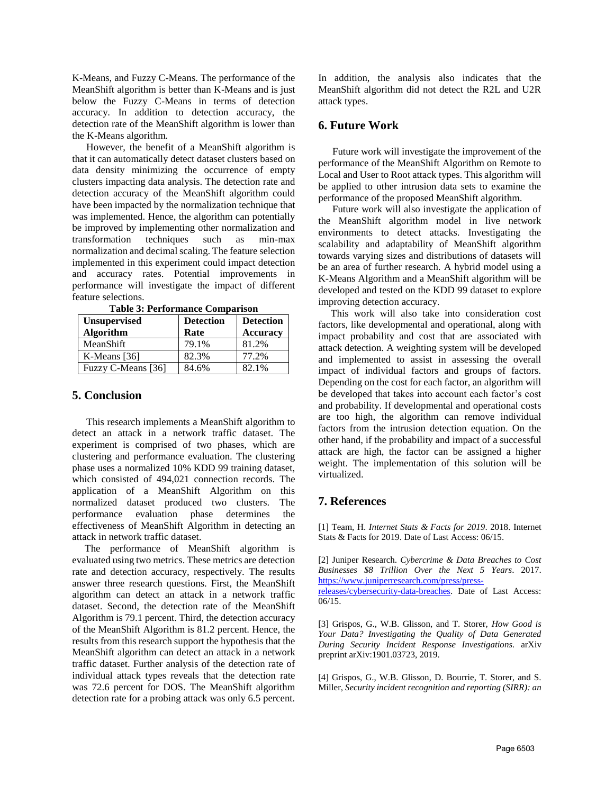K-Means, and Fuzzy C-Means. The performance of the MeanShift algorithm is better than K-Means and is just below the Fuzzy C-Means in terms of detection accuracy. In addition to detection accuracy, the detection rate of the MeanShift algorithm is lower than the K-Means algorithm.

However, the benefit of a MeanShift algorithm is that it can automatically detect dataset clusters based on data density minimizing the occurrence of empty clusters impacting data analysis. The detection rate and detection accuracy of the MeanShift algorithm could have been impacted by the normalization technique that was implemented. Hence, the algorithm can potentially be improved by implementing other normalization and transformation techniques such as min-max normalization and decimal scaling. The feature selection implemented in this experiment could impact detection and accuracy rates. Potential improvements in performance will investigate the impact of different feature selections.

| <b>Unsupervised</b><br><b>Algorithm</b> | <b>Detection</b><br>Rate | <b>Detection</b><br><b>Accuracy</b> |
|-----------------------------------------|--------------------------|-------------------------------------|
| MeanShift                               | 79.1%                    | 81.2%                               |
| K-Means [36]                            | 82.3%                    | 77.2%                               |
| Fuzzy C-Means [36]                      | 84.6%                    | 82.1%                               |

**Table 3: Performance Comparison**

## **5. Conclusion**

This research implements a MeanShift algorithm to detect an attack in a network traffic dataset. The experiment is comprised of two phases, which are clustering and performance evaluation. The clustering phase uses a normalized 10% KDD 99 training dataset, which consisted of 494,021 connection records. The application of a MeanShift Algorithm on this normalized dataset produced two clusters. The performance evaluation phase determines the effectiveness of MeanShift Algorithm in detecting an attack in network traffic dataset.

 The performance of MeanShift algorithm is evaluated using two metrics. These metrics are detection rate and detection accuracy, respectively. The results answer three research questions. First, the MeanShift algorithm can detect an attack in a network traffic dataset. Second, the detection rate of the MeanShift Algorithm is 79.1 percent. Third, the detection accuracy of the MeanShift Algorithm is 81.2 percent. Hence, the results from this research support the hypothesis that the MeanShift algorithm can detect an attack in a network traffic dataset. Further analysis of the detection rate of individual attack types reveals that the detection rate was 72.6 percent for DOS. The MeanShift algorithm detection rate for a probing attack was only 6.5 percent.

In addition, the analysis also indicates that the MeanShift algorithm did not detect the R2L and U2R attack types.

## **6. Future Work**

Future work will investigate the improvement of the performance of the MeanShift Algorithm on Remote to Local and User to Root attack types. This algorithm will be applied to other intrusion data sets to examine the performance of the proposed MeanShift algorithm.

Future work will also investigate the application of the MeanShift algorithm model in live network environments to detect attacks. Investigating the scalability and adaptability of MeanShift algorithm towards varying sizes and distributions of datasets will be an area of further research. A hybrid model using a K-Means Algorithm and a MeanShift algorithm will be developed and tested on the KDD 99 dataset to explore improving detection accuracy.

 This work will also take into consideration cost factors, like developmental and operational, along with impact probability and cost that are associated with attack detection. A weighting system will be developed and implemented to assist in assessing the overall impact of individual factors and groups of factors. Depending on the cost for each factor, an algorithm will be developed that takes into account each factor's cost and probability. If developmental and operational costs are too high, the algorithm can remove individual factors from the intrusion detection equation. On the other hand, if the probability and impact of a successful attack are high, the factor can be assigned a higher weight. The implementation of this solution will be virtualized.

## **7. References**

[1] Team, H. *Internet Stats & Facts for 2019*. 2018. Internet Stats & Facts for 2019. Date of Last Access: 06/15.

[2] Juniper Research. *Cybercrime & Data Breaches to Cost Businesses \$8 Trillion Over the Next 5 Years*. 2017. [https://www.juniperresearch.com/press/press](https://www.juniperresearch.com/press/press-releases/cybersecurity-data-breaches)[releases/cybersecurity-data-breaches.](https://www.juniperresearch.com/press/press-releases/cybersecurity-data-breaches) Date of Last Access: 06/15.

[3] Grispos, G., W.B. Glisson, and T. Storer, *How Good is Your Data? Investigating the Quality of Data Generated During Security Incident Response Investigations.* arXiv preprint arXiv:1901.03723, 2019.

[4] Grispos, G., W.B. Glisson, D. Bourrie, T. Storer, and S. Miller, *Security incident recognition and reporting (SIRR): an*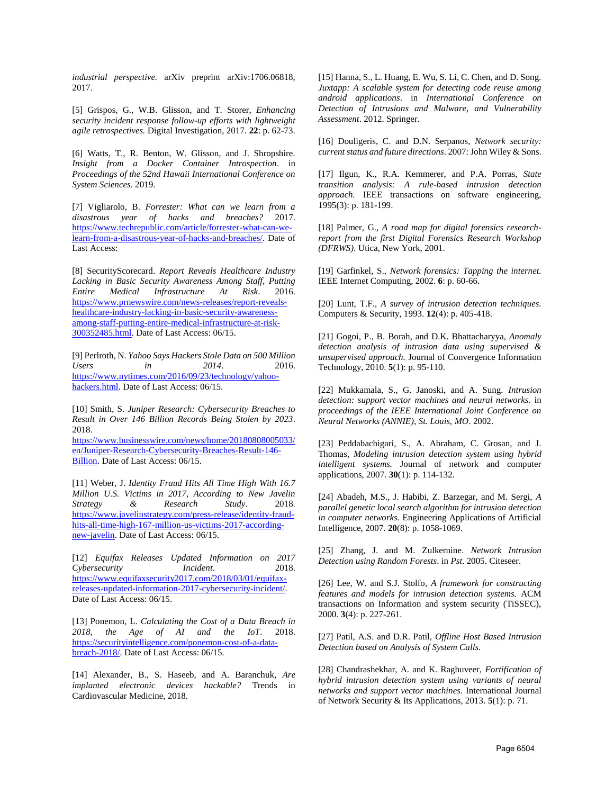*industrial perspective.* arXiv preprint arXiv:1706.06818, 2017.

[5] Grispos, G., W.B. Glisson, and T. Storer, *Enhancing security incident response follow-up efforts with lightweight agile retrospectives.* Digital Investigation, 2017. **22**: p. 62-73.

[6] Watts, T., R. Benton, W. Glisson, and J. Shropshire. *Insight from a Docker Container Introspection*. in *Proceedings of the 52nd Hawaii International Conference on System Sciences*. 2019.

[7] Vigliarolo, B. *Forrester: What can we learn from a disastrous year of hacks and breaches?* 2017. [https://www.techrepublic.com/article/forrester-what-can-we](https://www.techrepublic.com/article/forrester-what-can-we-learn-from-a-disastrous-year-of-hacks-and-breaches/)[learn-from-a-disastrous-year-of-hacks-and-breaches/.](https://www.techrepublic.com/article/forrester-what-can-we-learn-from-a-disastrous-year-of-hacks-and-breaches/) Date of Last Access:

[8] SecurityScorecard. *Report Reveals Healthcare Industry Lacking in Basic Security Awareness Among Staff, Putting Entire Medical Infrastructure At Risk*. 2016. [https://www.prnewswire.com/news-releases/report-reveals](https://www.prnewswire.com/news-releases/report-reveals-healthcare-industry-lacking-in-basic-security-awareness-among-staff-putting-entire-medical-infrastructure-at-risk-300352485.html)[healthcare-industry-lacking-in-basic-security-awareness](https://www.prnewswire.com/news-releases/report-reveals-healthcare-industry-lacking-in-basic-security-awareness-among-staff-putting-entire-medical-infrastructure-at-risk-300352485.html)[among-staff-putting-entire-medical-infrastructure-at-risk-](https://www.prnewswire.com/news-releases/report-reveals-healthcare-industry-lacking-in-basic-security-awareness-among-staff-putting-entire-medical-infrastructure-at-risk-300352485.html)[300352485.html.](https://www.prnewswire.com/news-releases/report-reveals-healthcare-industry-lacking-in-basic-security-awareness-among-staff-putting-entire-medical-infrastructure-at-risk-300352485.html) Date of Last Access: 06/15.

[9] Perlroth, N. *Yahoo Says Hackers Stole Data on 500 Million Users in 2014*. 2016. [https://www.nytimes.com/2016/09/23/technology/yahoo](https://www.nytimes.com/2016/09/23/technology/yahoo-hackers.html)[hackers.html.](https://www.nytimes.com/2016/09/23/technology/yahoo-hackers.html) Date of Last Access: 06/15.

[10] Smith, S. *Juniper Research: Cybersecurity Breaches to Result in Over 146 Billion Records Being Stolen by 2023*. 2018. [https://www.businesswire.com/news/home/20180808005033/](https://www.businesswire.com/news/home/20180808005033/en/Juniper-Research-Cybersecurity-Breaches-Result-146-Billion) [en/Juniper-Research-Cybersecurity-Breaches-Result-146-](https://www.businesswire.com/news/home/20180808005033/en/Juniper-Research-Cybersecurity-Breaches-Result-146-Billion)

[Billion.](https://www.businesswire.com/news/home/20180808005033/en/Juniper-Research-Cybersecurity-Breaches-Result-146-Billion) Date of Last Access: 06/15.

[11] Weber, J. *Identity Fraud Hits All Time High With 16.7 Million U.S. Victims in 2017, According to New Javelin Strategy & Research Study*. 2018. [https://www.javelinstrategy.com/press-release/identity-fraud](https://www.javelinstrategy.com/press-release/identity-fraud-hits-all-time-high-167-million-us-victims-2017-according-new-javelin)[hits-all-time-high-167-million-us-victims-2017-according](https://www.javelinstrategy.com/press-release/identity-fraud-hits-all-time-high-167-million-us-victims-2017-according-new-javelin)[new-javelin.](https://www.javelinstrategy.com/press-release/identity-fraud-hits-all-time-high-167-million-us-victims-2017-according-new-javelin) Date of Last Access: 06/15.

[12] *Equifax Releases Updated Information on 2017 Cybersecurity Incident*. 2018. [https://www.equifaxsecurity2017.com/2018/03/01/equifax](https://www.equifaxsecurity2017.com/2018/03/01/equifax-releases-updated-information-2017-cybersecurity-incident/)[releases-updated-information-2017-cybersecurity-incident/.](https://www.equifaxsecurity2017.com/2018/03/01/equifax-releases-updated-information-2017-cybersecurity-incident/)  Date of Last Access: 06/15.

[13] Ponemon, L. *Calculating the Cost of a Data Breach in 2018, the Age of AI and the IoT*. 2018. [https://securityintelligence.com/ponemon-cost-of-a-data](https://securityintelligence.com/ponemon-cost-of-a-data-breach-2018/)[breach-2018/.](https://securityintelligence.com/ponemon-cost-of-a-data-breach-2018/) Date of Last Access: 06/15.

[14] Alexander, B., S. Haseeb, and A. Baranchuk, *Are implanted electronic devices hackable?* Trends in Cardiovascular Medicine, 2018.

[15] Hanna, S., L. Huang, E. Wu, S. Li, C. Chen, and D. Song. *Juxtapp: A scalable system for detecting code reuse among android applications*. in *International Conference on Detection of Intrusions and Malware, and Vulnerability Assessment*. 2012. Springer.

[16] Douligeris, C. and D.N. Serpanos, *Network security: current status and future directions*. 2007: John Wiley & Sons.

[17] Ilgun, K., R.A. Kemmerer, and P.A. Porras, *State transition analysis: A rule-based intrusion detection approach.* IEEE transactions on software engineering, 1995(3): p. 181-199.

[18] Palmer, G., *A road map for digital forensics researchreport from the first Digital Forensics Research Workshop (DFRWS).* Utica, New York, 2001.

[19] Garfinkel, S., *Network forensics: Tapping the internet.* IEEE Internet Computing, 2002. **6**: p. 60-66.

[20] Lunt, T.F., *A survey of intrusion detection techniques.* Computers & Security, 1993. **12**(4): p. 405-418.

[21] Gogoi, P., B. Borah, and D.K. Bhattacharyya, *Anomaly detection analysis of intrusion data using supervised & unsupervised approach.* Journal of Convergence Information Technology, 2010. **5**(1): p. 95-110.

[22] Mukkamala, S., G. Janoski, and A. Sung. *Intrusion detection: support vector machines and neural networks*. in *proceedings of the IEEE International Joint Conference on Neural Networks (ANNIE), St. Louis, MO*. 2002.

[23] Peddabachigari, S., A. Abraham, C. Grosan, and J. Thomas, *Modeling intrusion detection system using hybrid intelligent systems.* Journal of network and computer applications, 2007. **30**(1): p. 114-132.

[24] Abadeh, M.S., J. Habibi, Z. Barzegar, and M. Sergi, *A parallel genetic local search algorithm for intrusion detection in computer networks.* Engineering Applications of Artificial Intelligence, 2007. **20**(8): p. 1058-1069.

[25] Zhang, J. and M. Zulkernine. *Network Intrusion Detection using Random Forests*. in *Pst*. 2005. Citeseer.

[26] Lee, W. and S.J. Stolfo, *A framework for constructing features and models for intrusion detection systems.* ACM transactions on Information and system security (TiSSEC), 2000. **3**(4): p. 227-261.

[27] Patil, A.S. and D.R. Patil, *Offline Host Based Intrusion Detection based on Analysis of System Calls.*

[28] Chandrashekhar, A. and K. Raghuveer, *Fortification of hybrid intrusion detection system using variants of neural networks and support vector machines.* International Journal of Network Security & Its Applications, 2013. **5**(1): p. 71.